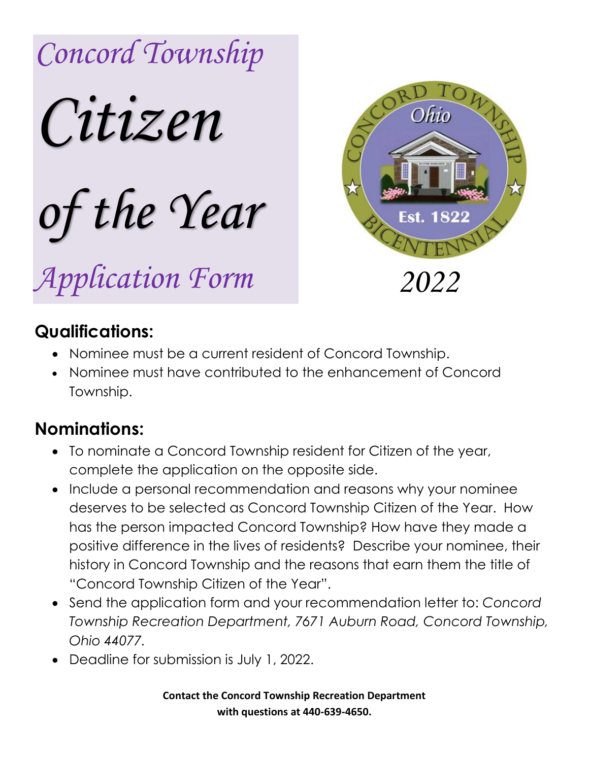



## **Qualifications:**

- Nominee must be a current resident of Concord Township.
- Nominee must have contributed to the enhancement of Concord Township.

## **Nominations:**

- To nominate a Concord Township resident for Citizen of the year, complete the application on the opposite side.
- Include a personal recommendation and reasons why your nominee deserves to be selected as Concord Township Citizen of the Year. How has the person impacted Concord Township? How have they made a positive difference in the lives of residents? Describe your nominee, their history in Concord Township and the reasons that earn them the title of "Concord Township Citizen of the Year".
- Send the application form and your recommendation letter to: *Concord Township Recreation Department, 7671 Auburn Road, Concord Township, Ohio 44077.*
- Deadline for submission is July 1, 2022.

**Contact the Concord Township Recreation Department with questions at 440-639-4650.**